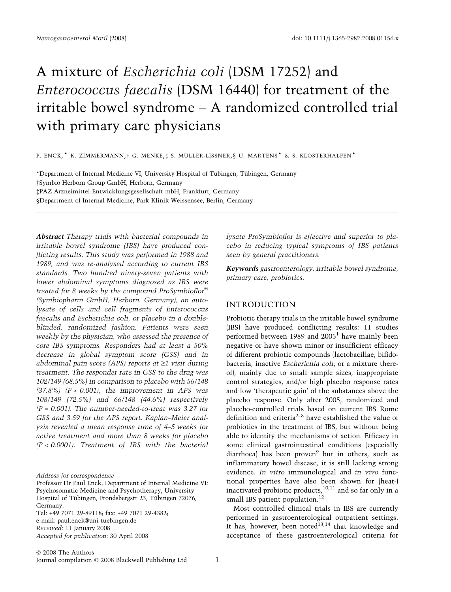# A mixture of Escherichia coli (DSM 17252) and Enterococcus faecalis (DSM 16440) for treatment of the irritable bowel syndrome – A randomized controlled trial with primary care physicians

P. ENCK,  $^\star$  K. ZIMMERMANN, † G. MENKE, ‡ S. MÜLLER-LISSNER, § U. MARTENS  $^\star$  & S. KLOSTERHALFEN  $^\star$ 

\*Department of Internal Medicine VI, University Hospital of Tübingen, Tübingen, Germany -Symbio Herborn Group GmbH, Herborn, Germany PAZ Arzneimittel-Entwicklungsgesellschaft mbH, Frankfurt, Germany §Department of Internal Medicine, Park-Klinik Weissensee, Berlin, Germany

Abstract Therapy trials with bacterial compounds in irritable bowel syndrome (IBS) have produced conflicting results. This study was performed in 1988 and 1989, and was re-analysed according to current IBS standards. Two hundred ninety-seven patients with lower abdominal symptoms diagnosed as IBS were treated for 8 weeks by the compound ProSymbioflor $^\circ$ (Symbiopharm GmbH, Herborn, Germany), an autolysate of cells and cell fragments of Enterococcus faecalis and Escherichia coli, or placebo in a doubleblinded, randomized fashion. Patients were seen weekly by the physician, who assessed the presence of core IBS symptoms. Responders had at least a 50% decrease in global symptom score (GSS) and in abdominal pain score (APS) reports at  $\geq 1$  visit during treatment. The responder rate in GSS to the drug was 102/149 (68.5%) in comparison to placebo with 56/148  $(37.8\%)$   $(P < 0.001)$ , the improvement in APS was 108/149 (72.5%) and 66/148 (44.6%) respectively  $(P = 0.001)$ . The number-needed-to-treat was 3.27 for GSS and 3.59 for the APS report. Kaplan–Meier analysis revealed a mean response time of 4–5 weeks for active treatment and more than 8 weeks for placebo (P < 0.0001). Treatment of IBS with the bacterial lysate ProSymbioflor is effective and superior to placebo in reducing typical symptoms of IBS patients seen by general practitioners.

Keywords gastroenterology, irritable bowel syndrome, primary care, probiotics.

## INTRODUCTION

Probiotic therapy trials in the irritable bowel syndrome (IBS) have produced conflicting results: 11 studies performed between 1989 and  $2005<sup>1</sup>$  have mainly been negative or have shown minor or insufficient efficacy of different probiotic compounds (lactobacillae, bifidobacteria, inactive Escherichia coli, or a mixture thereof), mainly due to small sample sizes, inappropriate control strategies, and/or high placebo response rates and low 'therapeutic gain' of the substances above the placebo response. Only after 2005, randomized and placebo-controlled trials based on current IBS Rome definition and criteria2–8 have established the value of probiotics in the treatment of IBS, but without being able to identify the mechanisms of action. Efficacy in some clinical gastrointestinal conditions (especially diarrhoea) has been proven $9$  but in others, such as inflammatory bowel disease, it is still lacking strong evidence. In vitro immunological and in vivo functional properties have also been shown for (heat-) inactivated probiotic products, $^{10,11}$  and so far only in a small IBS patient population.<sup>12</sup>

Most controlled clinical trials in IBS are currently performed in gastroenterological outpatient settings. It has, however, been noted $13,14$  that knowledge and acceptance of these gastroenterological criteria for

Address for correspondence

Professor Dr Paul Enck, Department of Internal Medicine VI: Psychosomatic Medicine and Psychotherapy, University Hospital of Tübingen, Frondsbergstr 23, Tübingen 72076, Germany.

Tel: +49 7071 29-89118; fax: +49 7071 29-4382; e-mail: paul.enck@uni-tuebingen.de Received: 11 January 2008 Accepted for publication: 30 April 2008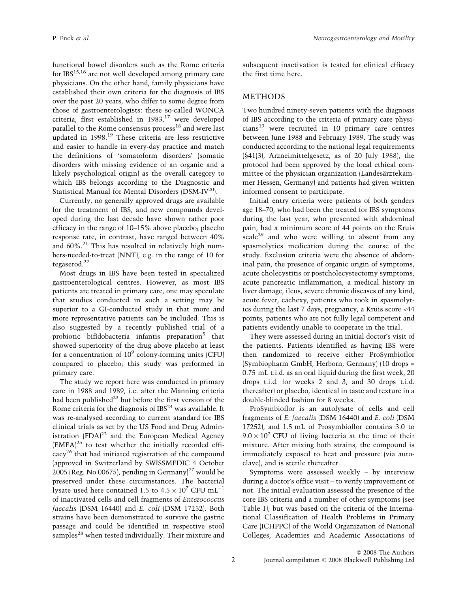functional bowel disorders such as the Rome criteria for  $IBS<sup>15,16</sup>$  are not well developed among primary care physicians. On the other hand, family physicians have established their own criteria for the diagnosis of IBS over the past 20 years, who differ to some degree from those of gastroenterologists: these so-called WONCA criteria, first established in  $1983$ ,<sup>17</sup> were developed parallel to the Rome consensus process $^{18}$  and were last updated in 1998.<sup>19</sup> These criteria are less restrictive and easier to handle in every-day practice and match the definitions of 'somatoform disorders' (somatic disorders with missing evidence of an organic and a likely psychological origin) as the overall category to which IBS belongs according to the Diagnostic and Statistical Manual for Mental Disorders (DSM-IV<sup>20</sup>).

Currently, no generally approved drugs are available for the treatment of IBS, and new compounds developed during the last decade have shown rather poor efficacy in the range of 10–15% above placebo; placebo response rate, in contrast, have ranged between 40% and  $60\%$ .<sup>21</sup> This has resulted in relatively high numbers-needed-to-treat (NNT), e.g. in the range of 10 for tegaserod.<sup>22</sup>

Most drugs in IBS have been tested in specialized gastroenterological centres. However, as most IBS patients are treated in primary care, one may speculate that studies conducted in such a setting may be superior to a GI-conducted study in that more and more representative patients can be included. This is also suggested by a recently published trial of a probiotic bifidobacteria infantis preparation<sup>5</sup> that showed superiority of the drug above placebo at least for a concentration of  $10^9$  colony-forming units (CFU) compared to placebo; this study was performed in primary care.

The study we report here was conducted in primary care in 1988 and 1989, i.e. after the Manning criteria had been published $^{23}$  but before the first version of the Rome criteria for the diagnosis of  $IBS<sup>24</sup>$  was available. It was re-analysed according to current standard for IBS clinical trials as set by the US Food and Drug Administration  $(FDA)^{22}$  and the European Medical Agency  $(EMEA)^{25}$  to test whether the initially recorded efficacy26 that had initiated registration of the compound (approved in Switzerland by SWISSMEDIC 4 October 2005 (Reg. No 00675), pending in Germany $]^{27}$  would be preserved under these circumstances. The bacterial lysate used here contained 1.5 to  $4.5 \times 10^7$  CFU mL<sup>-1</sup> of inactivated cells and cell fragments of Enterococcus faecalis (DSM 16440) and E. coli (DSM 17252). Both strains have been demonstrated to survive the gastric passage and could be identified in respective stool samples<sup>28</sup> when tested individually. Their mixture and subsequent inactivation is tested for clinical efficacy the first time here.

# METHODS

Two hundred ninety-seven patients with the diagnosis of IBS according to the criteria of primary care physicians<sup>19</sup> were recruited in 10 primary care centres between June 1988 and February 1989. The study was conducted according to the national legal requirements (§41(3), Arzneimittelgesetz, as of 20 July 1988), the protocol had been approved by the local ethical committee of the physician organization (Landesärztekammer Hessen, Germany) and patients had given written informed consent to participate.

Initial entry criteria were patients of both genders age 18–70, who had been the treated for IBS symptoms during the last year, who presented with abdominal pain, had a minimum score of 44 points on the Kruis scale<sup>29</sup> and who were willing to absent from any spasmolytics medication during the course of the study. Exclusion criteria were the absence of abdominal pain, the presence of organic origin of symptoms, acute cholecystitis or postcholecystectomy symptoms, acute pancreatic inflammation, a medical history in liver damage, ileus, severe chronic diseases of any kind, acute fever, cachexy, patients who took in spasmolytics during the last 7 days, pregnancy, a Kruis score <44 points, patients who are not fully legal competent and patients evidently unable to cooperate in the trial.

They were assessed during an initial doctor's visit of the patients. Patients identified as having IBS were then randomized to receive either ProSymbioflor (Symbiopharm GmbH, Herborn, Germany) (10 drops = 0.75 mL t.i.d. as an oral liquid during the first week, 20 drops t.i.d. for weeks 2 and 3, and 30 drops t.i.d. thereafter) or placebo, identical in taste and texture in a double-blinded fashion for 8 weeks.

ProSymbioflor is an autolysate of cells and cell fragments of E. faecalis (DSM 16440) and E. coli (DSM 17252), and 1.5 mL of Prosymbioflor contains 3.0 to  $9.0 \times 10^7$  CFU of living bacteria at the time of their mixture. After mixing both strains, the compound is immediately exposed to heat and pressure (via autoclave), and is sterile thereafter.

Symptoms were assessed weekly – by interview during a doctor's office visit – to verify improvement or not. The initial evaluation assessed the presence of the core IBS criteria and a number of other symptoms (see Table 1), but was based on the criteria of the International Classification of Health Problems in Primary Care (ICHPPC) of the World Organization of National Colleges, Academies and Academic Associations of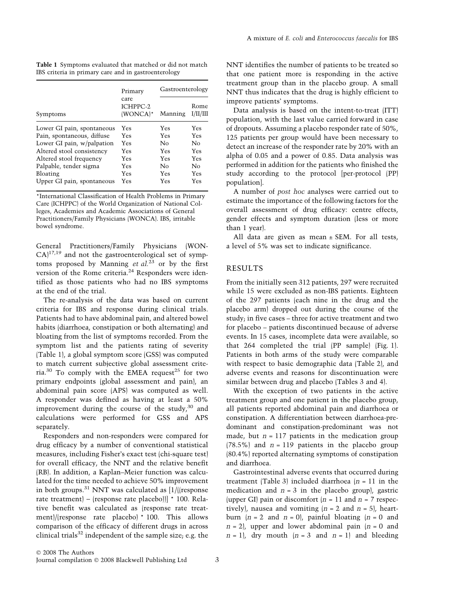Table 1 Symptoms evaluated that matched or did not match IBS criteria in primary care and in gastroenterology

| Symptoms                   | Primary<br>care<br>ICHPPC-2<br>(WONCA)* | Gastroenterology |                  |
|----------------------------|-----------------------------------------|------------------|------------------|
|                            |                                         | Manning          | Rome<br>I/II/III |
| Lower GI pain, spontaneous | Yes                                     | Yes              | Yes              |
| Pain, spontaneous, diffuse | Yes                                     | <b>Yes</b>       | <b>Yes</b>       |
| Lower GI pain, w/palpation | <b>Yes</b>                              | Nο               | Nο               |
| Altered stool consistency  | Yes                                     | Yes              | Yes              |
| Altered stool frequency    | Yes                                     | Yes              | <b>Yes</b>       |
| Palpable, tender sigma     | Yes                                     | No               | No               |
| Bloating                   | Yes                                     | Yes              | Yes              |
| Upper GI pain, spontaneous | Yes                                     | Yes              | Yes              |

\*International Classification of Health Problems in Primary Care (ICHPPC) of the World Organization of National Colleges, Academies and Academic Associations of General Practitioners/Family Physicians (WONCA). IBS, irritable bowel syndrome.

General Practitioners/Family Physicians (WON- $CA$ <sup>17,19</sup> and not the gastroenterological set of symptoms proposed by Manning et  $al^{23}$  or by the first version of the Rome criteria. $^{24}$  Responders were identified as those patients who had no IBS symptoms at the end of the trial.

The re-analysis of the data was based on current criteria for IBS and response during clinical trials. Patients had to have abdominal pain, and altered bowel habits (diarrhoea, constipation or both alternating) and bloating from the list of symptoms recorded. From the symptom list and the patients rating of severity (Table 1), a global symptom score (GSS) was computed to match current subjective global assessment criteria.<sup>30</sup> To comply with the EMEA request<sup>25</sup> for two primary endpoints (global assessment and pain), an abdominal pain score (APS) was computed as well. A responder was defined as having at least a 50% improvement during the course of the study, $30$  and calculations were performed for GSS and APS separately.

Responders and non-responders were compared for drug efficacy by a number of conventional statistical measures, including Fisher's exact test (chi-square test) for overall efficacy, the NNT and the relative benefit (RB). In addition, a Kaplan–Meier function was calculated for the time needed to achieve 50% improvement in both groups.<sup>31</sup> NNT was calculated as  $1/$ ((response) rate treatment) – (response rate placebo))]  $\star$  100. Relative benefit was calculated as (response rate treatment)/(response rate placebo) \* 100. This allows comparison of the efficacy of different drugs in across clinical trials $32$  independent of the sample size; e.g. the NNT identifies the number of patients to be treated so that one patient more is responding in the active treatment group than in the placebo group. A small NNT thus indicates that the drug is highly efficient to improve patients' symptoms.

Data analysis is based on the intent-to-treat (ITT) population, with the last value carried forward in case of dropouts. Assuming a placebo responder rate of 50%, 125 patients per group would have been necessary to detect an increase of the responder rate by 20% with an alpha of 0.05 and a power of 0.85. Data analysis was performed in addition for the patients who finished the study according to the protocol [per-protocol (PP) population].

A number of post hoc analyses were carried out to estimate the importance of the following factors for the overall assessment of drug efficacy: centre effects, gender effects and symptom duration (less or more than 1 year).

All data are given as mean  $\pm$  SEM. For all tests, a level of 5% was set to indicate significance.

## RESULTS

From the initially seen 312 patients, 297 were recruited while 15 were excluded as non-IBS patients. Eighteen of the 297 patients (each nine in the drug and the placebo arm) dropped out during the course of the study; in five cases – three for active treatment and two for placebo – patients discontinued because of adverse events. In 15 cases, incomplete data were available, so that 264 completed the trial (PP sample) (Fig. 1). Patients in both arms of the study were comparable with respect to basic demographic data (Table 2), and adverse events and reasons for discontinuation were similar between drug and placebo (Tables 3 and 4).

With the exception of two patients in the active treatment group and one patient in the placebo group, all patients reported abdominal pain and diarrhoea or constipation. A differentiation between diarrhoea-predominant and constipation-predominant was not made, but  $n = 117$  patients in the medication group  $(78.5\%)$  and  $n = 119$  patients in the placebo group (80.4%) reported alternating symptoms of constipation and diarrhoea.

Gastrointestinal adverse events that occurred during treatment (Table 3) included diarrhoea  $(n = 11)$  in the medication and  $n = 3$  in the placebo group), gastric (upper GI) pain or discomfort  $(n = 11$  and  $n = 7$  respectively), nausea and vomiting  $(n = 2 \text{ and } n = 5)$ , heartburn  $(n = 2 \text{ and } n = 0)$ , painful bloating  $(n = 0 \text{ and } n = 1)$  $n = 2$ , upper and lower abdominal pain  $(n = 0$  and  $n = 1$ , dry mouth  $(n = 3 \text{ and } n = 1)$  and bleeding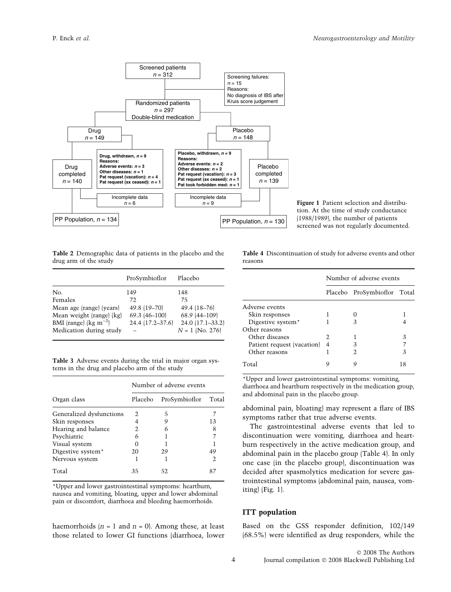

Figure 1 Patient selection and distribution. At the time of study conductance (1988/1989), the number of patients screened was not regularly documented.

Table 2 Demographic data of patients in the placebo and the drug arm of the study

|                                    | ProSymbioflor    | Placebo           |
|------------------------------------|------------------|-------------------|
| N <sub>0</sub>                     | 149              | 148               |
| Females                            | 72.              | 75                |
| Mean age (range) (years)           | 49.8 (19-70)     | 49.4 (18-76)      |
| Mean weight (range) (kg)           | 69.3 (46-100)    | 68.9 (44-109)     |
| BMI (range) ( $\text{kg m}^{-2}$ ) | 24.4 (17.2-37.6) | 24.0 (17.1-33.2)  |
| Medication during study            |                  | $N = 1$ (No. 276) |

Table 3 Adverse events during the trial in major organ systems in the drug and placebo arm of the study

|                          | Number of adverse events |               |       |  |
|--------------------------|--------------------------|---------------|-------|--|
| Organ class              | Placebo                  | ProSymbioflor | Total |  |
| Generalized dysfunctions | 2.                       | 5             |       |  |
| Skin responses           | 4                        |               | 13    |  |
| Hearing and balance      | 2                        |               | 8     |  |
| Psychiatric              | 6                        |               |       |  |
| Visual system            | O                        |               |       |  |
| Digestive system*        | 20                       | 29            | 49    |  |
| Nervous system           |                          |               | 2     |  |
| Total                    | 35                       | 52            |       |  |

\*Upper and lower gastrointestinal symptoms: heartburn, nausea and vomiting, bloating, upper and lower abdominal pain or discomfort, diarrhoea and bleeding haemorrhoids.

haemorrhoids  $(n = 1 \text{ and } n = 0)$ . Among these, at least those related to lower GI functions (diarrhoea, lower Table 4 Discontinuation of study for adverse events and other reasons

|                               | Number of adverse events |                             |    |
|-------------------------------|--------------------------|-----------------------------|----|
|                               |                          | Placebo ProSymbioflor Total |    |
| Adverse events                |                          |                             |    |
| Skin responses                |                          |                             |    |
| Digestive system <sup>*</sup> |                          |                             |    |
| Other reasons                 |                          |                             |    |
| Other diseases                | 2.                       |                             | З  |
| Patient request (vacation)    | 4                        | 3                           |    |
| Other reasons                 |                          | 2.                          | 3  |
| Total                         |                          |                             | 18 |

\*Upper and lower gastrointestinal symptoms: vomiting, diarrhoea and heartburn respectively in the medication group, and abdominal pain in the placebo group.

abdominal pain, bloating) may represent a flare of IBS symptoms rather that true adverse events.

The gastrointestinal adverse events that led to discontinuation were vomiting, diarrhoea and heartburn respectively in the active medication group, and abdominal pain in the placebo group (Table 4). In only one case (in the placebo group), discontinuation was decided after spasmolytics medication for severe gastrointestinal symptoms (abdominal pain, nausea, vomiting) (Fig. 1).

#### ITT population

Based on the GSS responder definition, 102/149 (68.5%) were identified as drug responders, while the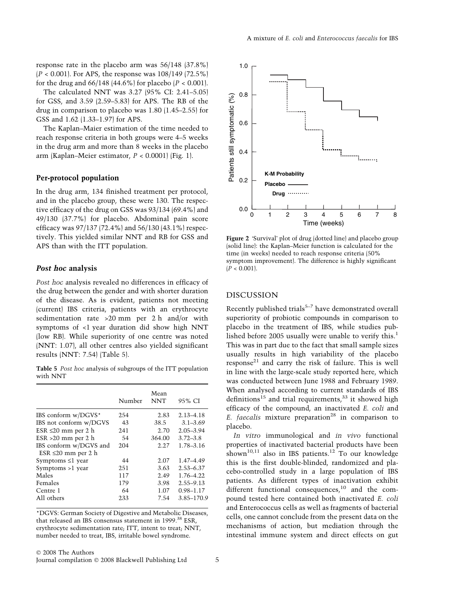A mixture of E. coli and Enterococcus faecalis for IBS

response rate in the placebo arm was 56/148 (37.8%)  $(P < 0.001)$ . For APS, the response was  $108/149$  (72.5%) for the drug and  $66/148$  (44.6%) for placebo ( $P < 0.001$ ).

The calculated NNT was 3.27 (95% CI: 2.41–5.05) for GSS, and 3.59 (2.59–5.83) for APS. The RB of the drug in comparison to placebo was 1.80 (1.45–2.55) for GSS and 1.62 (1.33–1.97) for APS.

The Kaplan–Maier estimation of the time needed to reach response criteria in both groups were 4–5 weeks in the drug arm and more than 8 weeks in the placebo arm (Kaplan–Meier estimator,  $P < 0.0001$ ) (Fig. 1).

## Per-protocol population

In the drug arm, 134 finished treatment per protocol, and in the placebo group, these were 130. The respective efficacy of the drug on GSS was 93/134 (69.4%) and 49/130 (37.7%) for placebo. Abdominal pain score efficacy was 97/137 (72.4%) and 56/130 (43.1%) respectively. This yielded similar NNT and RB for GSS and APS than with the ITT population.

#### Post hoc analysis

Post hoc analysis revealed no differences in efficacy of the drug between the gender and with shorter duration of the disease. As is evident, patients not meeting (current) IBS criteria, patients with an erythrocyte sedimentation rate >20 mm per 2 h and/or with symptoms of <1 year duration did show high NNT (low RB). While superiority of one centre was noted (NNT: 1.07), all other centres also yielded significant results (NNT: 7.54) (Table 5).

Table 5 Post hoc analysis of subgroups of the ITT population with NNT

|                                                    | Number | Mean<br><b>NNT</b> | 95% CI        |
|----------------------------------------------------|--------|--------------------|---------------|
| IBS conform w/DGVS*                                | 254    | 2.83               | $2.13 - 4.18$ |
| IBS not conform w/DGVS                             | 43     | 38.5               | $3.1 - 3.69$  |
| ESR $\leq$ 20 mm per 2 h                           | 241    | 2.70               | $2.05 - 3.94$ |
| $ESR > 20$ mm per 2 h                              | 54     | 364.00             | $3.72 - 3.8$  |
| IBS conform w/DGVS and<br>ESR $\leq 20$ mm per 2 h | 204    | 2.27               | 1.78-3.16     |
| Symptoms $\leq$ l year                             | 44     | 2.07               | 1.47-4.49     |
| Symptoms >1 year                                   | 251    | 3.63               | $2.53 - 6.37$ |
| Males                                              | 117    | 2.49               | 1.76-4.22     |
| Females                                            | 179    | 3.98               | $2.55 - 9.13$ |
| Centre 1                                           | 64     | 1.07               | $0.98 - 1.17$ |
| All others                                         | 233    | 7.54               | 3.85-170.9    |

\*DGVS: German Society of Digestive and Metabolic Diseases, that released an IBS consensus statement in 1999.<sup>38</sup> ESR, erythrocyte sedimentation rate; ITT, intent to treat; NNT, number needed to treat, IBS, irritable bowel syndrome.



Figure 2 'Survival' plot of drug (dotted line) and placebo group (solid line): the Kaplan–Meier function is calculated for the time (in weeks) needed to reach response criteria (50% symptom improvement). The difference is highly significant  $|P < 0.001|$ .

#### DISCUSSION

Recently published trials $5-7$  have demonstrated overall superiority of probiotic compounds in comparison to placebo in the treatment of IBS, while studies published before 2005 usually were unable to verify this.<sup>1</sup> This was in part due to the fact that small sample sizes usually results in high variability of the placebo response<sup>21</sup> and carry the risk of failure. This is well in line with the large-scale study reported here, which was conducted between June 1988 and February 1989. When analysed according to current standards of IBS definitions<sup>15</sup> and trial requirements, $33$  it showed high efficacy of the compound, an inactivated E. coli and E. faecalis mixture preparation<sup>28</sup> in comparison to placebo.

In vitro immunological and in vivo functional properties of inactivated bacterial products have been shown<sup>10,11</sup> also in IBS patients.<sup>12</sup> To our knowledge this is the first double-blinded, randomized and placebo-controlled study in a large population of IBS patients. As different types of inactivation exhibit different functional consequences, $10$  and the compound tested here contained both inactivated E. coli and Enterococcus cells as well as fragments of bacterial cells, one cannot conclude from the present data on the mechanisms of action, but mediation through the intestinal immune system and direct effects on gut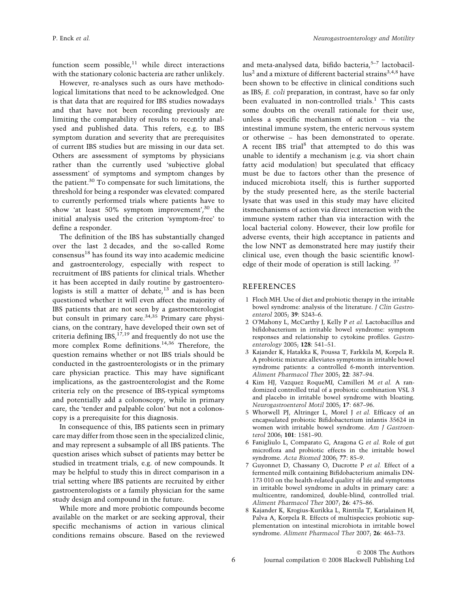function seem possible, $11$  while direct interactions with the stationary colonic bacteria are rather unlikely.

However, re-analyses such as ours have methodological limitations that need to be acknowledged. One is that data that are required for IBS studies nowadays and that have not been recording previously are limiting the comparability of results to recently analysed and published data. This refers, e.g. to IBS symptom duration and severity that are prerequisites of current IBS studies but are missing in our data set. Others are assessment of symptoms by physicians rather than the currently used 'subjective global assessment' of symptoms and symptom changes by the patient.<sup>30</sup> To compensate for such limitations, the threshold for being a responder was elevated: compared to currently performed trials where patients have to show 'at least 50% symptom improvement',<sup>30</sup> the initial analysis used the criterion 'symptom-free' to define a responder.

The definition of the IBS has substantially changed over the last 2 decades, and the so-called Rome  $consensus<sup>18</sup>$  has found its way into academic medicine and gastroenterology, especially with respect to recruitment of IBS patients for clinical trials. Whether it has been accepted in daily routine by gastroenterologists is still a matter of debate, $13$  and is has been questioned whether it will even affect the majority of IBS patients that are not seen by a gastroenterologist but consult in primary care.<sup>34,35</sup> Primary care physicians, on the contrary, have developed their own set of criteria defining IBS,  $^{17,19}$  and frequently do not use the more complex Rome definitions.<sup>14,36</sup> Therefore, the question remains whether or not IBS trials should be conducted in the gastroenterologists or in the primary care physician practice. This may have significant implications, as the gastroenterologist and the Rome criteria rely on the presence of IBS-typical symptoms and potentially add a colonoscopy, while in primary care, the 'tender and palpable colon' but not a colonoscopy is a prerequisite for this diagnosis.

In consequence of this, IBS patients seen in primary care may differ from those seen in the specialized clinic, and may represent a subsample of all IBS patients. The question arises which subset of patients may better be studied in treatment trials, e.g. of new compounds. It may be helpful to study this in direct comparison in a trial setting where IBS patients are recruited by either gastroenterologists or a family physician for the same study design and compound in the future.

While more and more probiotic compounds become available on the market or are seeking approval, their specific mechanisms of action in various clinical conditions remains obscure. Based on the reviewed and meta-analysed data, bifido bacteria, $5-7$  lactobacil- $\ln^2$  and a mixture of different bacterial strains<sup>3,4,8</sup> have been shown to be effective in clinical conditions such as IBS; E. coli preparation, in contrast, have so far only been evaluated in non-controlled trials.<sup>1</sup> This casts some doubts on the overall rationale for their use, unless a specific mechanism of action – via the intestinal immune system, the enteric nervous system or otherwise – has been demonstrated to operate. A recent IBS trial<sup>8</sup> that attempted to do this was unable to identify a mechanism (e.g. via short chain fatty acid modulation) but speculated that efficacy must be due to factors other than the presence of induced microbiota itself; this is further supported by the study presented here, as the sterile bacterial lysate that was used in this study may have elicited itsmechanisms of action via direct interaction with the immune system rather than via interaction with the local bacterial colony. However, their low profile for adverse events, their high acceptance in patients and the low NNT as demonstrated here may justify their clinical use, even though the basic scientific knowledge of their mode of operation is still lacking. <sup>37</sup>

#### REFERENCES

- 1 Floch MH. Use of diet and probiotic therapy in the irritable bowel syndrome: analysis of the literature. J Clin Gastroenterol 2005; 39: S243–6.
- 2 O'Mahony L, McCarthy J, Kelly P et al. Lactobacillus and bifidobacterium in irritable bowel syndrome: symptom responses and relationship to cytokine profiles. Gastroenterology 2005; 128: 541–51.
- 3 Kajander K, Hatakka K, Poussa T, Farkkila M, Korpela R. A probiotic mixture alleviates symptoms in irritable bowel syndrome patients: a controlled 6-month intervention. Aliment Pharmacol Ther 2005; 22: 387–94.
- 4 Kim HJ, Vazquez RoqueMI, Camilleri M et al. A randomized controlled trial of a probiotic combination VSL 3 and placebo in irritable bowel syndrome with bloating. Neurogastroenterol Motil 2005; 17: 687–96.
- 5 Whorwell PJ, Altringer L, Morel J et al. Efficacy of an encapsulated probiotic Bifidobacterium infantis 35624 in women with irritable bowel syndrome. Am J Gastroenterol 2006; 101: 1581–90.
- 6 Fanigliulo L, Comparato G, Aragona G et al. Role of gut microflora and probiotic effects in the irritable bowel syndrome. Acta Biomed 2006; 77: 85–9.
- 7 Guyonnet D, Chassany O, Ducrotte P et al. Effect of a fermented milk containing Bifidobacterium animalis DN-173 010 on the health-related quality of life and symptoms in irritable bowel syndrome in adults in primary care: a multicentre, randomized, double-blind, controlled trial. Aliment Pharmacol Ther 2007; 26: 475–86.
- 8 Kajander K, Krogius-Kurikka L, Rinttila T, Karjalainen H, Palva A, Korpela R. Effects of multispecies probiotic supplementation on intestinal microbiota in irritable bowel syndrome. Aliment Pharmacol Ther 2007; 26: 463–73.